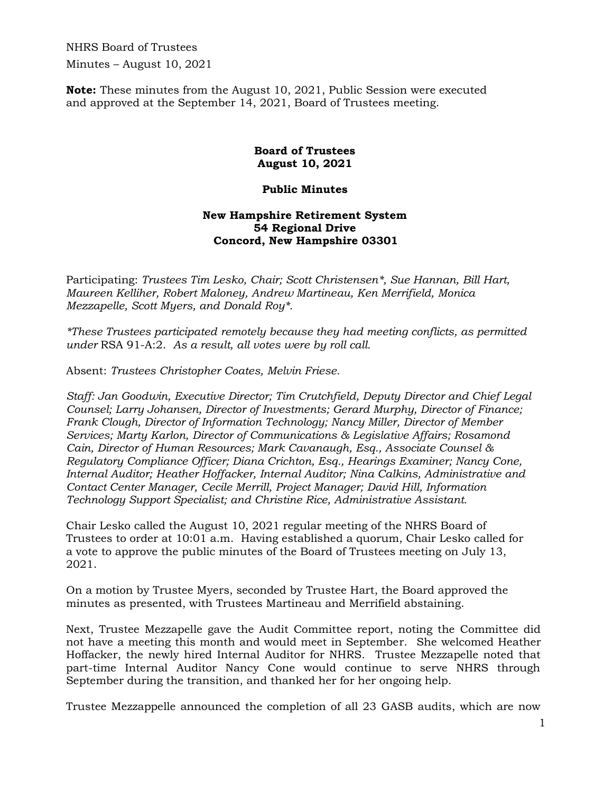NHRS Board of Trustees Minutes – August 10, 2021

**Note:** These minutes from the August 10, 2021, Public Session were executed and approved at the September 14, 2021, Board of Trustees meeting.

## **Board of Trustees August 10, 2021**

## **Public Minutes**

## **New Hampshire Retirement System 54 Regional Drive Concord, New Hampshire 03301**

Participating: *Trustees Tim Lesko, Chair; Scott Christensen\*, Sue Hannan, Bill Hart, Maureen Kelliher, Robert Maloney, Andrew Martineau, Ken Merrifield, Monica Mezzapelle, Scott Myers, and Donald Roy\*.* 

*\*These Trustees participated remotely because they had meeting conflicts, as permitted under* RSA 91-A:2. *As a result, all votes were by roll call.*

Absent: *Trustees Christopher Coates, Melvin Friese.* 

*Staff: Jan Goodwin, Executive Director; Tim Crutchfield, Deputy Director and Chief Legal Counsel; Larry Johansen, Director of Investments; Gerard Murphy, Director of Finance; Frank Clough, Director of Information Technology; Nancy Miller, Director of Member Services; Marty Karlon, Director of Communications & Legislative Affairs; Rosamond Cain, Director of Human Resources; Mark Cavanaugh, Esq., Associate Counsel & Regulatory Compliance Officer; Diana Crichton, Esq., Hearings Examiner; Nancy Cone, Internal Auditor; Heather Hoffacker, Internal Auditor; Nina Calkins, Administrative and Contact Center Manager, Cecile Merrill, Project Manager; David Hill, Information Technology Support Specialist; and Christine Rice, Administrative Assistant.* 

Chair Lesko called the August 10, 2021 regular meeting of the NHRS Board of Trustees to order at 10:01 a.m. Having established a quorum, Chair Lesko called for a vote to approve the public minutes of the Board of Trustees meeting on July 13, 2021.

On a motion by Trustee Myers, seconded by Trustee Hart, the Board approved the minutes as presented, with Trustees Martineau and Merrifield abstaining.

Next, Trustee Mezzapelle gave the Audit Committee report, noting the Committee did not have a meeting this month and would meet in September. She welcomed Heather Hoffacker, the newly hired Internal Auditor for NHRS. Trustee Mezzapelle noted that part-time Internal Auditor Nancy Cone would continue to serve NHRS through September during the transition, and thanked her for her ongoing help.

Trustee Mezzappelle announced the completion of all 23 GASB audits, which are now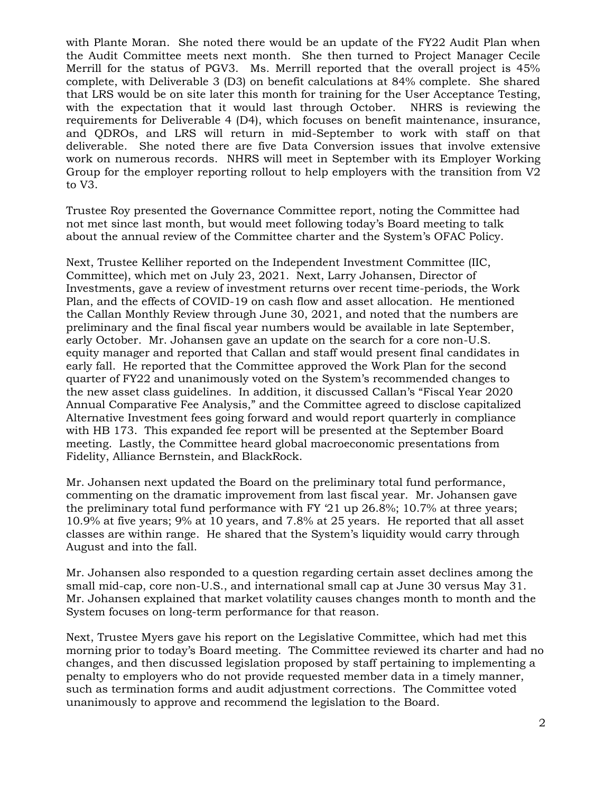with Plante Moran. She noted there would be an update of the FY22 Audit Plan when the Audit Committee meets next month. She then turned to Project Manager Cecile Merrill for the status of PGV3. Ms. Merrill reported that the overall project is 45% complete, with Deliverable 3 (D3) on benefit calculations at 84% complete. She shared that LRS would be on site later this month for training for the User Acceptance Testing, with the expectation that it would last through October. NHRS is reviewing the requirements for Deliverable 4 (D4), which focuses on benefit maintenance, insurance, and QDROs, and LRS will return in mid-September to work with staff on that deliverable. She noted there are five Data Conversion issues that involve extensive work on numerous records. NHRS will meet in September with its Employer Working Group for the employer reporting rollout to help employers with the transition from V2 to V3.

Trustee Roy presented the Governance Committee report, noting the Committee had not met since last month, but would meet following today's Board meeting to talk about the annual review of the Committee charter and the System's OFAC Policy.

Next, Trustee Kelliher reported on the Independent Investment Committee (IIC, Committee), which met on July 23, 2021. Next, Larry Johansen, Director of Investments, gave a review of investment returns over recent time-periods, the Work Plan, and the effects of COVID-19 on cash flow and asset allocation. He mentioned the Callan Monthly Review through June 30, 2021, and noted that the numbers are preliminary and the final fiscal year numbers would be available in late September, early October. Mr. Johansen gave an update on the search for a core non-U.S. equity manager and reported that Callan and staff would present final candidates in early fall. He reported that the Committee approved the Work Plan for the second quarter of FY22 and unanimously voted on the System's recommended changes to the new asset class guidelines. In addition, it discussed Callan's "Fiscal Year 2020 Annual Comparative Fee Analysis," and the Committee agreed to disclose capitalized Alternative Investment fees going forward and would report quarterly in compliance with HB 173. This expanded fee report will be presented at the September Board meeting. Lastly, the Committee heard global macroeconomic presentations from Fidelity, Alliance Bernstein, and BlackRock.

Mr. Johansen next updated the Board on the preliminary total fund performance, commenting on the dramatic improvement from last fiscal year. Mr. Johansen gave the preliminary total fund performance with FY '21 up 26.8%; 10.7% at three years; 10.9% at five years; 9% at 10 years, and 7.8% at 25 years. He reported that all asset classes are within range. He shared that the System's liquidity would carry through August and into the fall.

Mr. Johansen also responded to a question regarding certain asset declines among the small mid-cap, core non-U.S., and international small cap at June 30 versus May 31. Mr. Johansen explained that market volatility causes changes month to month and the System focuses on long-term performance for that reason.

Next, Trustee Myers gave his report on the Legislative Committee, which had met this morning prior to today's Board meeting. The Committee reviewed its charter and had no changes, and then discussed legislation proposed by staff pertaining to implementing a penalty to employers who do not provide requested member data in a timely manner, such as termination forms and audit adjustment corrections. The Committee voted unanimously to approve and recommend the legislation to the Board.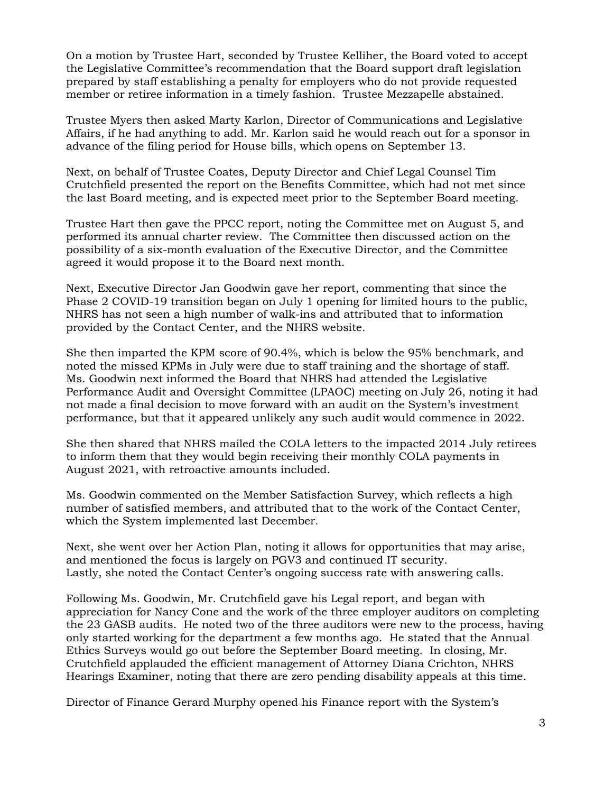On a motion by Trustee Hart, seconded by Trustee Kelliher, the Board voted to accept the Legislative Committee's recommendation that the Board support draft legislation prepared by staff establishing a penalty for employers who do not provide requested member or retiree information in a timely fashion. Trustee Mezzapelle abstained.

Trustee Myers then asked Marty Karlon, Director of Communications and Legislative Affairs, if he had anything to add. Mr. Karlon said he would reach out for a sponsor in advance of the filing period for House bills, which opens on September 13.

Next, on behalf of Trustee Coates, Deputy Director and Chief Legal Counsel Tim Crutchfield presented the report on the Benefits Committee, which had not met since the last Board meeting, and is expected meet prior to the September Board meeting.

Trustee Hart then gave the PPCC report, noting the Committee met on August 5, and performed its annual charter review. The Committee then discussed action on the possibility of a six-month evaluation of the Executive Director, and the Committee agreed it would propose it to the Board next month.

Next, Executive Director Jan Goodwin gave her report, commenting that since the Phase 2 COVID-19 transition began on July 1 opening for limited hours to the public, NHRS has not seen a high number of walk-ins and attributed that to information provided by the Contact Center, and the NHRS website.

She then imparted the KPM score of 90.4%, which is below the 95% benchmark, and noted the missed KPMs in July were due to staff training and the shortage of staff. Ms. Goodwin next informed the Board that NHRS had attended the Legislative Performance Audit and Oversight Committee (LPAOC) meeting on July 26, noting it had not made a final decision to move forward with an audit on the System's investment performance, but that it appeared unlikely any such audit would commence in 2022.

She then shared that NHRS mailed the COLA letters to the impacted 2014 July retirees to inform them that they would begin receiving their monthly COLA payments in August 2021, with retroactive amounts included.

Ms. Goodwin commented on the Member Satisfaction Survey, which reflects a high number of satisfied members, and attributed that to the work of the Contact Center, which the System implemented last December.

Next, she went over her Action Plan, noting it allows for opportunities that may arise, and mentioned the focus is largely on PGV3 and continued IT security. Lastly, she noted the Contact Center's ongoing success rate with answering calls.

Following Ms. Goodwin, Mr. Crutchfield gave his Legal report, and began with appreciation for Nancy Cone and the work of the three employer auditors on completing the 23 GASB audits. He noted two of the three auditors were new to the process, having only started working for the department a few months ago. He stated that the Annual Ethics Surveys would go out before the September Board meeting. In closing, Mr. Crutchfield applauded the efficient management of Attorney Diana Crichton, NHRS Hearings Examiner, noting that there are zero pending disability appeals at this time.

Director of Finance Gerard Murphy opened his Finance report with the System's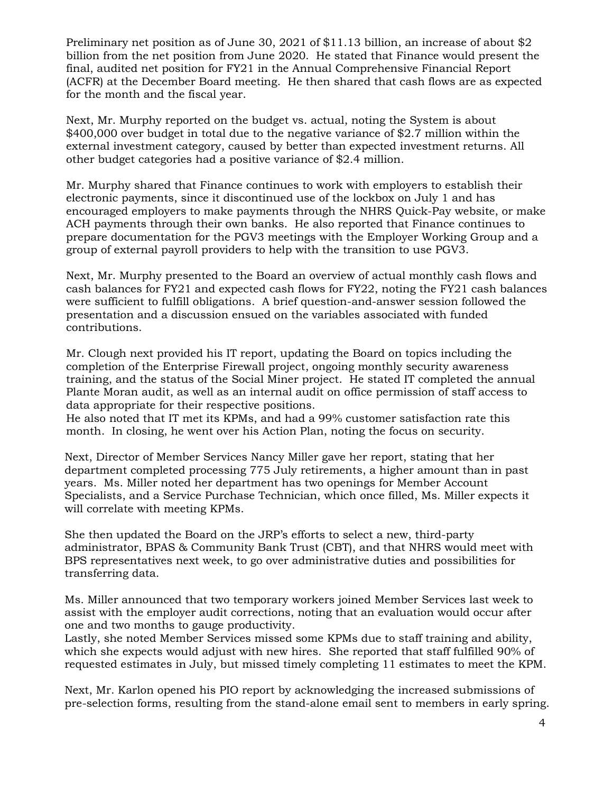Preliminary net position as of June 30, 2021 of \$11.13 billion, an increase of about \$2 billion from the net position from June 2020. He stated that Finance would present the final, audited net position for FY21 in the Annual Comprehensive Financial Report (ACFR) at the December Board meeting. He then shared that cash flows are as expected for the month and the fiscal year.

Next, Mr. Murphy reported on the budget vs. actual, noting the System is about \$400,000 over budget in total due to the negative variance of \$2.7 million within the external investment category, caused by better than expected investment returns. All other budget categories had a positive variance of \$2.4 million.

Mr. Murphy shared that Finance continues to work with employers to establish their electronic payments, since it discontinued use of the lockbox on July 1 and has encouraged employers to make payments through the NHRS Quick-Pay website, or make ACH payments through their own banks. He also reported that Finance continues to prepare documentation for the PGV3 meetings with the Employer Working Group and a group of external payroll providers to help with the transition to use PGV3.

Next, Mr. Murphy presented to the Board an overview of actual monthly cash flows and cash balances for FY21 and expected cash flows for FY22, noting the FY21 cash balances were sufficient to fulfill obligations. A brief question-and-answer session followed the presentation and a discussion ensued on the variables associated with funded contributions.

Mr. Clough next provided his IT report, updating the Board on topics including the completion of the Enterprise Firewall project, ongoing monthly security awareness training, and the status of the Social Miner project. He stated IT completed the annual Plante Moran audit, as well as an internal audit on office permission of staff access to data appropriate for their respective positions.

He also noted that IT met its KPMs, and had a 99% customer satisfaction rate this month. In closing, he went over his Action Plan, noting the focus on security.

Next, Director of Member Services Nancy Miller gave her report, stating that her department completed processing 775 July retirements, a higher amount than in past years. Ms. Miller noted her department has two openings for Member Account Specialists, and a Service Purchase Technician, which once filled, Ms. Miller expects it will correlate with meeting KPMs.

She then updated the Board on the JRP's efforts to select a new, third-party administrator, BPAS & Community Bank Trust (CBT), and that NHRS would meet with BPS representatives next week, to go over administrative duties and possibilities for transferring data.

Ms. Miller announced that two temporary workers joined Member Services last week to assist with the employer audit corrections, noting that an evaluation would occur after one and two months to gauge productivity.

Lastly, she noted Member Services missed some KPMs due to staff training and ability, which she expects would adjust with new hires. She reported that staff fulfilled 90% of requested estimates in July, but missed timely completing 11 estimates to meet the KPM.

Next, Mr. Karlon opened his PIO report by acknowledging the increased submissions of pre-selection forms, resulting from the stand-alone email sent to members in early spring.